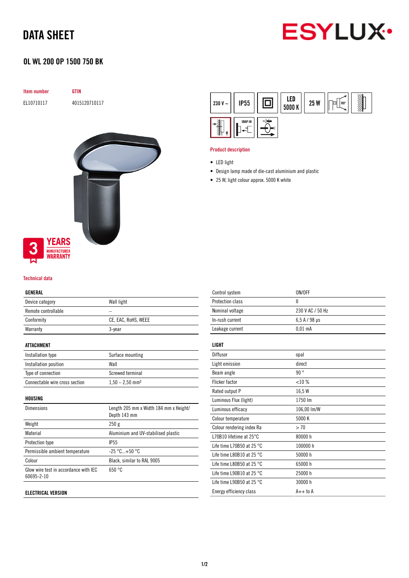# DATA SHEET



## OL WL 200 OP 1500 750 BK

| Item number |                                        | GTIN          |
|-------------|----------------------------------------|---------------|
| EL10710117  |                                        | 4015120710117 |
|             |                                        |               |
|             |                                        |               |
|             |                                        |               |
|             |                                        |               |
|             | <b>YEARS</b>                           |               |
| 3<br>. .    | <b>MANUFACTURER</b><br><b>WARRANTY</b> |               |

#### Technical data

#### GENERAL

| Device category     | Wall light          |
|---------------------|---------------------|
| Remote controllable |                     |
| Conformity          | CE, EAC, RoHS, WEEE |
| Warranty            | 3-year              |
|                     |                     |

#### ATTACHMENT

| Installation type              | Surface mounting              |
|--------------------------------|-------------------------------|
| Installation position          | Wall                          |
| Type of connection             | Screwed terminal              |
| Connectable wire cross section | $1,50 - 2,50$ mm <sup>2</sup> |

#### HOUSING

| <b>Dimensions</b>                                   | Length 205 mm x Width 184 mm x Height/<br>Depth 143 mm |
|-----------------------------------------------------|--------------------------------------------------------|
| Weight                                              | 250g                                                   |
| Material                                            | Aluminium and UV-stabilised plastic                    |
| Protection type                                     | <b>IP55</b>                                            |
| Permissible ambient temperature                     | $-25 °C+50 °C$                                         |
| Colour                                              | Black, similar to RAL 9005                             |
| Glow wire test in accordance with IEC<br>60695-2-10 | 650 °C                                                 |
|                                                     |                                                        |

#### ELECTRICAL VERSION



#### Product description

- Design lamp made of die-cast aluminium and plastic
- 25 W, light colour approx. 5000 K white

| Control system                      | ON/OFF               |
|-------------------------------------|----------------------|
| Protection class                    | Ш                    |
| Nominal voltage                     | 230 V AC / 50 Hz     |
| In-rush current                     | $6.5$ A / 98 $\mu$ s |
| Leakage current                     | $0.01$ mA            |
| LIGHT                               |                      |
| Diffusor                            | opal                 |
| Light emission                      | direct               |
| Beam angle                          | 90°                  |
| Flicker factor                      | <10%                 |
| Rated output P                      | 16,5 W               |
| Luminous Flux (light)               | 1750 lm              |
| Luminous efficacy                   | 106,00 lm/W          |
| Colour temperature                  | 5000 K               |
| Colour rendering index Ra           | > 70                 |
| L70B10 lifetime at $25^{\circ}$ C   | 80000h               |
| Life time L70B50 at 25 $^{\circ}$ C | 100000 h             |
| Life time L80B10 at 25 $^{\circ}$ C | 50000 h              |
| Life time L80B50 at 25 $^{\circ}$ C | 65000h               |
| Life time L90B10 at 25 $^{\circ}$ C | 25000h               |
| Life time L90B50 at 25 $^{\circ}$ C | 30000 h              |
| Energy efficiency class             | $A++$ to $A$         |
|                                     |                      |

<sup>•</sup> LED light